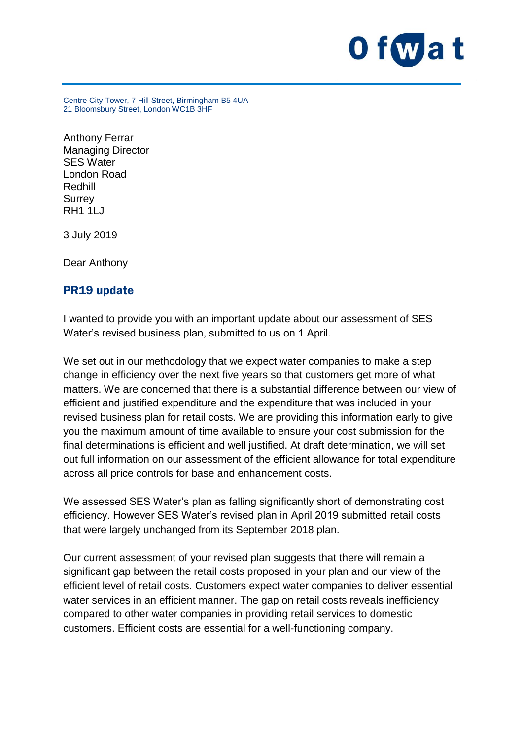

Centre City Tower, 7 Hill Street, Birmingham B5 4UA 21 Bloomsbury Street, London WC1B 3HF

Anthony Ferrar Managing Director SES Water London Road Redhill **Surrey** RH1 1LJ

3 July 2019

Dear Anthony

## PR19 update

I wanted to provide you with an important update about our assessment of SES Water's revised business plan, submitted to us on 1 April.

We set out in our methodology that we expect water companies to make a step change in efficiency over the next five years so that customers get more of what matters. We are concerned that there is a substantial difference between our view of efficient and justified expenditure and the expenditure that was included in your revised business plan for retail costs. We are providing this information early to give you the maximum amount of time available to ensure your cost submission for the final determinations is efficient and well justified. At draft determination, we will set out full information on our assessment of the efficient allowance for total expenditure across all price controls for base and enhancement costs.

We assessed SES Water's plan as falling significantly short of demonstrating cost efficiency. However SES Water's revised plan in April 2019 submitted retail costs that were largely unchanged from its September 2018 plan.

Our current assessment of your revised plan suggests that there will remain a significant gap between the retail costs proposed in your plan and our view of the efficient level of retail costs. Customers expect water companies to deliver essential water services in an efficient manner. The gap on retail costs reveals inefficiency compared to other water companies in providing retail services to domestic customers. Efficient costs are essential for a well-functioning company.